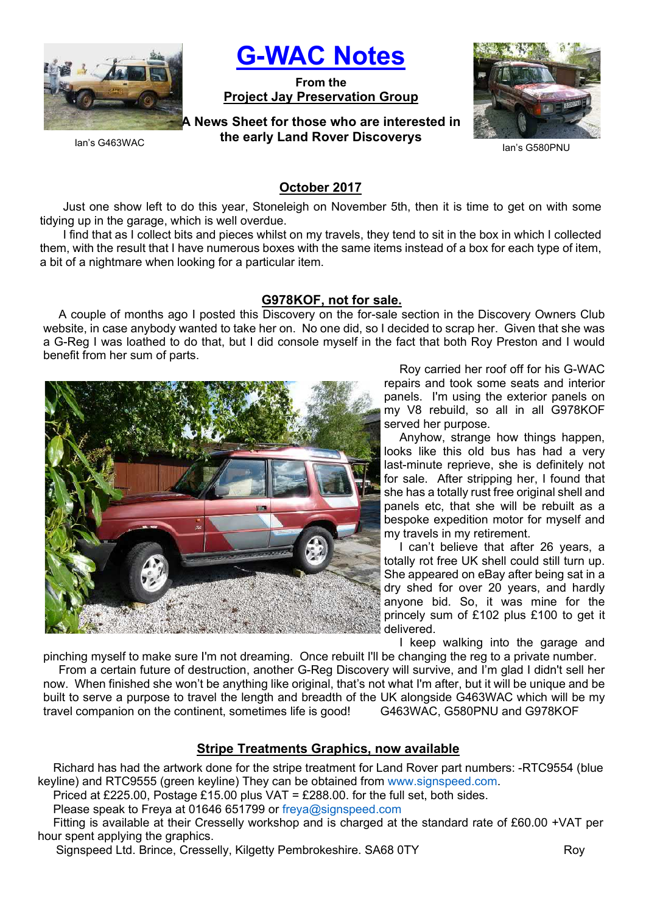

G-WAC Notes

From the Project Jay Preservation Group

A News Sheet for those who are interested in the early Land Rover Discoverys



Ian's G580PNU

Ian's G463WAC

## October 2017

Just one show left to do this year, Stoneleigh on November 5th, then it is time to get on with some tidying up in the garage, which is well overdue.

I find that as I collect bits and pieces whilst on my travels, they tend to sit in the box in which I collected them, with the result that I have numerous boxes with the same items instead of a box for each type of item, a bit of a nightmare when looking for a particular item.

### G978KOF, not for sale.

A couple of months ago I posted this Discovery on the for-sale section in the Discovery Owners Club website, in case anybody wanted to take her on. No one did, so I decided to scrap her. Given that she was a G-Reg I was loathed to do that, but I did console myself in the fact that both Roy Preston and I would benefit from her sum of parts.



Roy carried her roof off for his G-WAC repairs and took some seats and interior panels. I'm using the exterior panels on my V8 rebuild, so all in all G978KOF served her purpose.

Anyhow, strange how things happen, looks like this old bus has had a very last-minute reprieve, she is definitely not for sale. After stripping her, I found that she has a totally rust free original shell and panels etc, that she will be rebuilt as a bespoke expedition motor for myself and my travels in my retirement.

I can't believe that after 26 years, a totally rot free UK shell could still turn up. She appeared on eBay after being sat in a dry shed for over 20 years, and hardly anyone bid. So, it was mine for the princely sum of £102 plus £100 to get it delivered.

I keep walking into the garage and

pinching myself to make sure I'm not dreaming. Once rebuilt I'll be changing the reg to a private number. From a certain future of destruction, another G-Reg Discovery will survive, and I'm glad I didn't sell her now. When finished she won't be anything like original, that's not what I'm after, but it will be unique and be built to serve a purpose to travel the length and breadth of the UK alongside G463WAC which will be my travel companion on the continent, sometimes life is good! G463WAC, G580PNU and G978KOF

## Stripe Treatments Graphics, now available

Richard has had the artwork done for the stripe treatment for Land Rover part numbers: -RTC9554 (blue keyline) and RTC9555 (green keyline) They can be obtained from www.signspeed.com.

Priced at £225.00, Postage £15.00 plus VAT = £288.00, for the full set, both sides.

Please speak to Freya at 01646 651799 or freya@signspeed.com

Fitting is available at their Cresselly workshop and is charged at the standard rate of £60.00 +VAT per hour spent applying the graphics.

Signspeed Ltd. Brince, Cresselly, Kilgetty Pembrokeshire. SA68 0TY Roy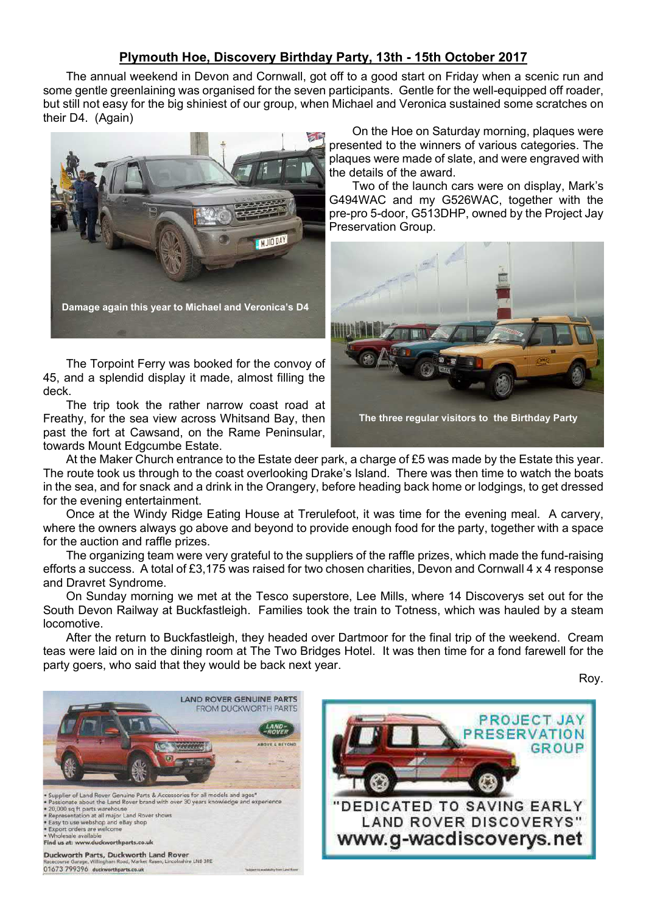## Plymouth Hoe, Discovery Birthday Party, 13th - 15th October 2017

The annual weekend in Devon and Cornwall, got off to a good start on Friday when a scenic run and some gentle greenlaining was organised for the seven participants. Gentle for the well-equipped off roader, but still not easy for the big shiniest of our group, when Michael and Veronica sustained some scratches on their D4. (Again)



The Torpoint Ferry was booked for the convoy of 45, and a splendid display it made, almost filling the deck.

The trip took the rather narrow coast road at Freathy, for the sea view across Whitsand Bay, then past the fort at Cawsand, on the Rame Peninsular, towards Mount Edgcumbe Estate.

On the Hoe on Saturday morning, plaques were presented to the winners of various categories. The plaques were made of slate, and were engraved with the details of the award.

Two of the launch cars were on display, Mark's G494WAC and my G526WAC, together with the pre-pro 5-door, G513DHP, owned by the Project Jay Preservation Group.



At the Maker Church entrance to the Estate deer park, a charge of £5 was made by the Estate this year. The route took us through to the coast overlooking Drake's Island. There was then time to watch the boats in the sea, and for snack and a drink in the Orangery, before heading back home or lodgings, to get dressed for the evening entertainment.

Once at the Windy Ridge Eating House at Trerulefoot, it was time for the evening meal. A carvery, where the owners always go above and beyond to provide enough food for the party, together with a space for the auction and raffle prizes.

The organizing team were very grateful to the suppliers of the raffle prizes, which made the fund-raising efforts a success. A total of £3,175 was raised for two chosen charities, Devon and Cornwall 4 x 4 response and Dravret Syndrome.

On Sunday morning we met at the Tesco superstore, Lee Mills, where 14 Discoverys set out for the South Devon Railway at Buckfastleigh. Families took the train to Totness, which was hauled by a steam locomotive.

After the return to Buckfastleigh, they headed over Dartmoor for the final trip of the weekend. Cream teas were laid on in the dining room at The Two Bridges Hotel. It was then time for a fond farewell for the party goers, who said that they would be back next year.

Roy.



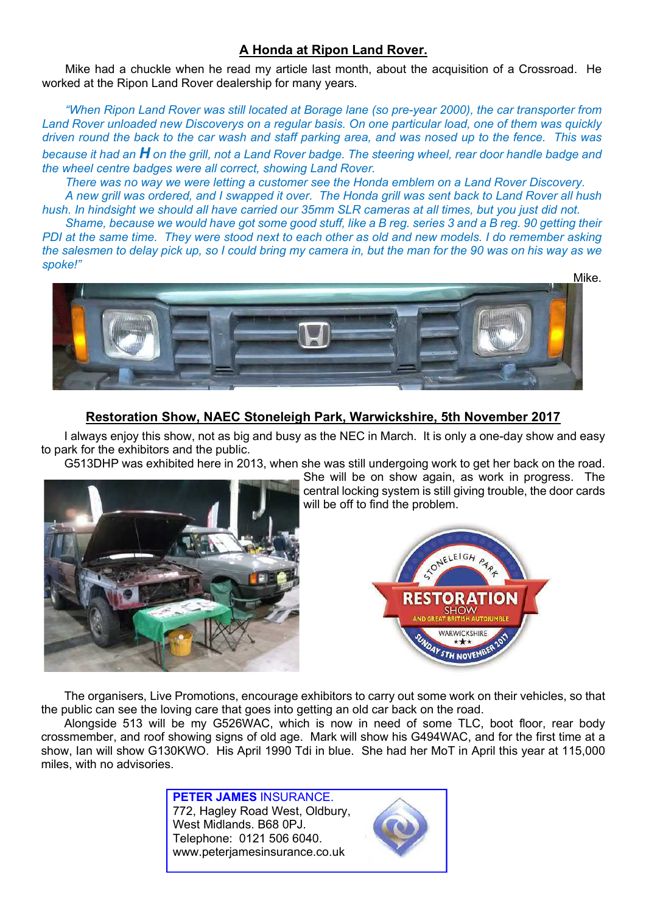# A Honda at Ripon Land Rover.

Mike had a chuckle when he read my article last month, about the acquisition of a Crossroad. He worked at the Ripon Land Rover dealership for many years.

"When Ripon Land Rover was still located at Borage lane (so pre-year 2000), the car transporter from Land Rover unloaded new Discoverys on a regular basis. On one particular load, one of them was quickly driven round the back to the car wash and staff parking area, and was nosed up to the fence. This was because it had an  $H$  on the grill, not a Land Rover badge. The steering wheel, rear door handle badge and the wheel centre badges were all correct, showing Land Rover.

There was no way we were letting a customer see the Honda emblem on a Land Rover Discovery.

A new grill was ordered, and I swapped it over. The Honda grill was sent back to Land Rover all hush hush. In hindsight we should all have carried our 35mm SLR cameras at all times, but you just did not.

Shame, because we would have got some good stuff, like a B reg. series 3 and a B reg. 90 getting their PDI at the same time. They were stood next to each other as old and new models. I do remember asking the salesmen to delay pick up, so I could bring my camera in, but the man for the 90 was on his way as we spoke!"



# Restoration Show, NAEC Stoneleigh Park, Warwickshire, 5th November 2017

I always enjoy this show, not as big and busy as the NEC in March. It is only a one-day show and easy to park for the exhibitors and the public.

G513DHP was exhibited here in 2013, when she was still undergoing work to get her back on the road.



She will be on show again, as work in progress. The central locking system is still giving trouble, the door cards will be off to find the problem.



The organisers, Live Promotions, encourage exhibitors to carry out some work on their vehicles, so that the public can see the loving care that goes into getting an old car back on the road.

Alongside 513 will be my G526WAC, which is now in need of some TLC, boot floor, rear body crossmember, and roof showing signs of old age. Mark will show his G494WAC, and for the first time at a show, Ian will show G130KWO. His April 1990 Tdi in blue. She had her MoT in April this year at 115,000 miles, with no advisories.

> PETER JAMES INSURANCE. 772, Hagley Road West, Oldbury, West Midlands. B68 0PJ. Telephone: 0121 506 6040. www.peterjamesinsurance.co.uk